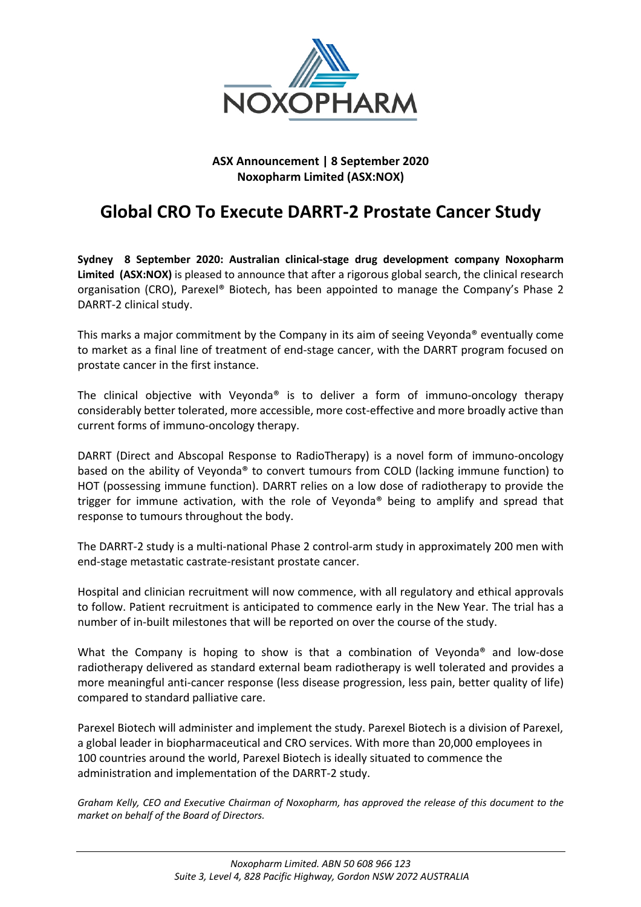

# **ASX Announcement | 8 September 2020 Noxopharm Limited (ASX:NOX)**

# **Global CRO To Execute DARRT-2 Prostate Cancer Study**

**Sydney 8 September 2020: Australian clinical-stage drug development company Noxopharm Limited (ASX:NOX)** is pleased to announce that after a rigorous global search, the clinical research organisation (CRO), Parexel® Biotech, has been appointed to manage the Company's Phase 2 DARRT-2 clinical study.

This marks a major commitment by the Company in its aim of seeing Veyonda® eventually come to market as a final line of treatment of end-stage cancer, with the DARRT program focused on prostate cancer in the first instance.

The clinical objective with Veyonda<sup>®</sup> is to deliver a form of immuno-oncology therapy considerably better tolerated, more accessible, more cost-effective and more broadly active than current forms of immuno-oncology therapy.

DARRT (Direct and Abscopal Response to RadioTherapy) is a novel form of immuno-oncology based on the ability of Veyonda® to convert tumours from COLD (lacking immune function) to HOT (possessing immune function). DARRT relies on a low dose of radiotherapy to provide the trigger for immune activation, with the role of Veyonda® being to amplify and spread that response to tumours throughout the body.

The DARRT-2 study is a multi-national Phase 2 control-arm study in approximately 200 men with end-stage metastatic castrate-resistant prostate cancer.

Hospital and clinician recruitment will now commence, with all regulatory and ethical approvals to follow. Patient recruitment is anticipated to commence early in the New Year. The trial has a number of in-built milestones that will be reported on over the course of the study.

What the Company is hoping to show is that a combination of Veyonda® and low-dose radiotherapy delivered as standard external beam radiotherapy is well tolerated and provides a more meaningful anti-cancer response (less disease progression, less pain, better quality of life) compared to standard palliative care.

Parexel Biotech will administer and implement the study. Parexel Biotech is a division of Parexel, a global leader in biopharmaceutical and CRO services. With more than 20,000 employees in 100 countries around the world, Parexel Biotech is ideally situated to commence the administration and implementation of the DARRT-2 study.

*Graham Kelly, CEO and Executive Chairman of Noxopharm, has approved the release of this document to the market on behalf of the Board of Directors.*